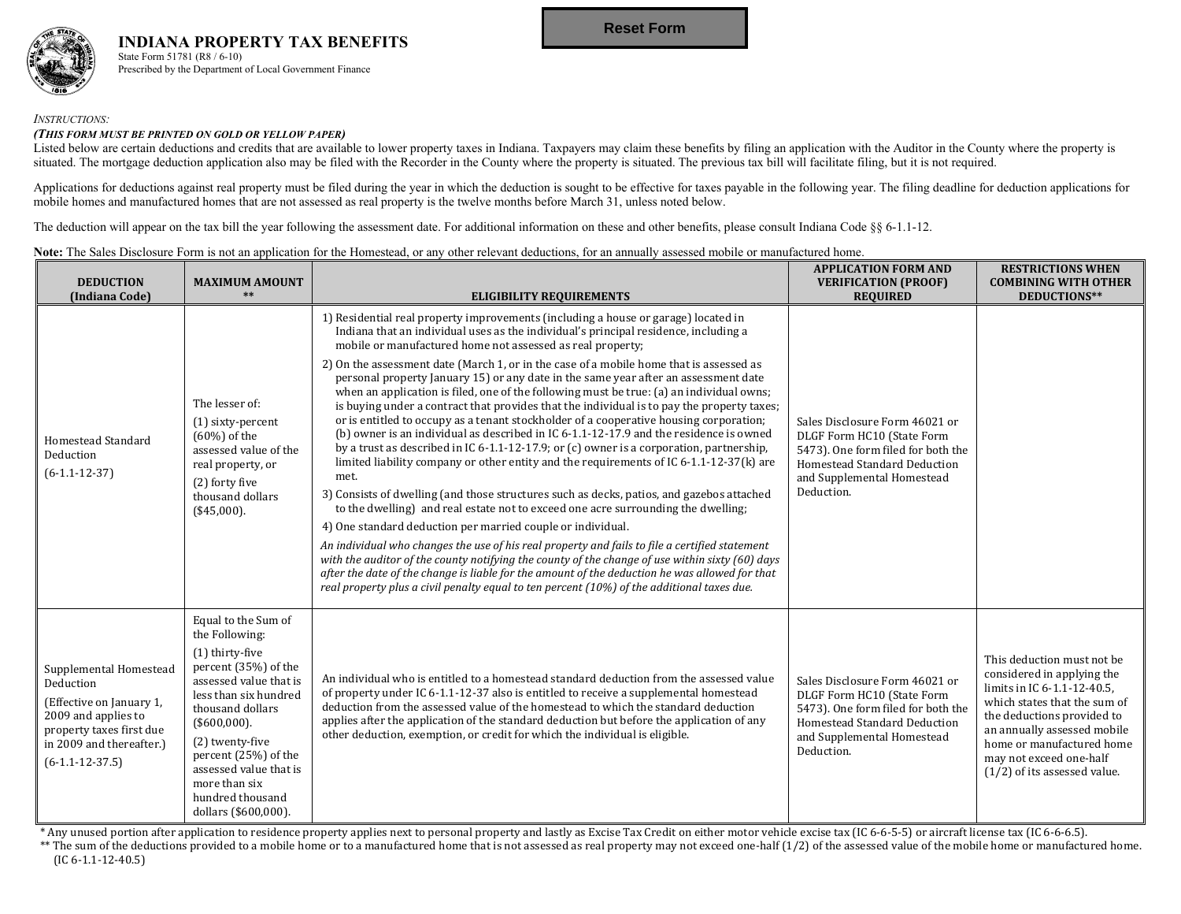

**INDIANA PROPERTY TAX BENEFITS** State Form 51781 (R8 / 6-10) Prescribed by the Department of Local Government Finance

### *INSTRUCTIONS:*

#### *(THIS FORM MUST BE PRINTED ON GOLD OR YELLOW PAPER)*

Listed below are certain deductions and credits that are available to lower property taxes in Indiana. Taxpayers may claim these benefits by filing an application with the Auditor in the County where the property is situated. The mortgage deduction application also may be filed with the Recorder in the County where the property is situated. The previous tax bill will facilitate filing, but it is not required.

Applications for deductions against real property must be filed during the year in which the deduction is sought to be effective for taxes payable in the following year. The filing deadline for deduction applications for mobile homes and manufactured homes that are not assessed as real property is the twelve months before March 31, unless noted below.

The deduction will appear on the tax bill the year following the assessment date. For additional information on these and other benefits, please consult Indiana Code §§ 6-1.1-12.

### Note: The Sales Disclosure Form is not an application for the Homestead, or any other relevant deductions, for an annually assessed mobile or manufactured home.

| <b>DEDUCTION</b><br>(Indiana Code)                                                                                                                                  | <b>MAXIMUM AMOUNT</b><br>$**$                                                                                                                                                                                                                                                                                | <b>ELIGIBILITY REQUIREMENTS</b>                                                                                                                                                                                                                                                                                                                                                                                                                                                                                                                                                                                                                                                                                                                                                                                                                                                                                                                                                                                                                                                                                                                                                                                                                                                                                                                                                                                                                                                                                                                                                                                                                                 | <b>APPLICATION FORM AND</b><br><b>VERIFICATION (PROOF)</b><br><b>REQUIRED</b>                                                                                                  | <b>RESTRICTIONS WHEN</b><br><b>COMBINING WITH OTHER</b><br>DEDUCTIONS**                                                                                                                                                                                                        |
|---------------------------------------------------------------------------------------------------------------------------------------------------------------------|--------------------------------------------------------------------------------------------------------------------------------------------------------------------------------------------------------------------------------------------------------------------------------------------------------------|-----------------------------------------------------------------------------------------------------------------------------------------------------------------------------------------------------------------------------------------------------------------------------------------------------------------------------------------------------------------------------------------------------------------------------------------------------------------------------------------------------------------------------------------------------------------------------------------------------------------------------------------------------------------------------------------------------------------------------------------------------------------------------------------------------------------------------------------------------------------------------------------------------------------------------------------------------------------------------------------------------------------------------------------------------------------------------------------------------------------------------------------------------------------------------------------------------------------------------------------------------------------------------------------------------------------------------------------------------------------------------------------------------------------------------------------------------------------------------------------------------------------------------------------------------------------------------------------------------------------------------------------------------------------|--------------------------------------------------------------------------------------------------------------------------------------------------------------------------------|--------------------------------------------------------------------------------------------------------------------------------------------------------------------------------------------------------------------------------------------------------------------------------|
| Homestead Standard<br>Deduction<br>$(6-1.1-12-37)$                                                                                                                  | The lesser of:<br>$(1)$ sixty-percent<br>$(60\%)$ of the<br>assessed value of the<br>real property, or<br>(2) forty five<br>thousand dollars<br>(\$45,000).                                                                                                                                                  | 1) Residential real property improvements (including a house or garage) located in<br>Indiana that an individual uses as the individual's principal residence, including a<br>mobile or manufactured home not assessed as real property;<br>2) On the assessment date (March 1, or in the case of a mobile home that is assessed as<br>personal property January 15) or any date in the same year after an assessment date<br>when an application is filed, one of the following must be true: (a) an individual owns;<br>is buying under a contract that provides that the individual is to pay the property taxes;<br>or is entitled to occupy as a tenant stockholder of a cooperative housing corporation;<br>(b) owner is an individual as described in IC $6-1.1-12-17.9$ and the residence is owned<br>by a trust as described in IC 6-1.1-12-17.9; or (c) owner is a corporation, partnership,<br>limited liability company or other entity and the requirements of IC 6-1.1-12-37(k) are<br>met.<br>3) Consists of dwelling (and those structures such as decks, patios, and gazebos attached<br>to the dwelling) and real estate not to exceed one acre surrounding the dwelling;<br>4) One standard deduction per married couple or individual.<br>An individual who changes the use of his real property and fails to file a certified statement<br>with the auditor of the county notifying the county of the change of use within sixty (60) days<br>after the date of the change is liable for the amount of the deduction he was allowed for that<br>real property plus a civil penalty equal to ten percent (10%) of the additional taxes due. | Sales Disclosure Form 46021 or<br>DLGF Form HC10 (State Form<br>5473). One form filed for both the<br>Homestead Standard Deduction<br>and Supplemental Homestead<br>Deduction. |                                                                                                                                                                                                                                                                                |
| Supplemental Homestead<br>Deduction<br>(Effective on January 1,<br>2009 and applies to<br>property taxes first due<br>in 2009 and thereafter.)<br>$(6-1.1-12-37.5)$ | Equal to the Sum of<br>the Following:<br>(1) thirty-five<br>percent (35%) of the<br>assessed value that is<br>less than six hundred<br>thousand dollars<br>$($ \$600,000).<br>(2) twenty-five<br>percent (25%) of the<br>assessed value that is<br>more than six<br>hundred thousand<br>dollars (\$600,000). | An individual who is entitled to a homestead standard deduction from the assessed value<br>of property under IC 6-1.1-12-37 also is entitled to receive a supplemental homestead<br>deduction from the assessed value of the homestead to which the standard deduction<br>applies after the application of the standard deduction but before the application of any<br>other deduction, exemption, or credit for which the individual is eligible.                                                                                                                                                                                                                                                                                                                                                                                                                                                                                                                                                                                                                                                                                                                                                                                                                                                                                                                                                                                                                                                                                                                                                                                                              | Sales Disclosure Form 46021 or<br>DLGF Form HC10 (State Form<br>5473). One form filed for both the<br>Homestead Standard Deduction<br>and Supplemental Homestead<br>Deduction. | This deduction must not be<br>considered in applying the<br>limits in IC 6-1.1-12-40.5,<br>which states that the sum of<br>the deductions provided to<br>an annually assessed mobile<br>home or manufactured home<br>may not exceed one-half<br>$(1/2)$ of its assessed value. |

\* Any unused portion after application to residence property applies next to personal property and lastly as Excise Tax Credit on either motor vehicle excise tax (IC 6‐6‐5‐5) or aircraft license tax (IC 6‐6‐6.5).

\*\* The sum of the deductions provided to a mobile home or to a manufactured home that is not assessed as real property may not exceed one‐half (1/2) of the assessed value of the mobile home or manufactured home.  $($ IC 6-1.1-12-40.5 $)$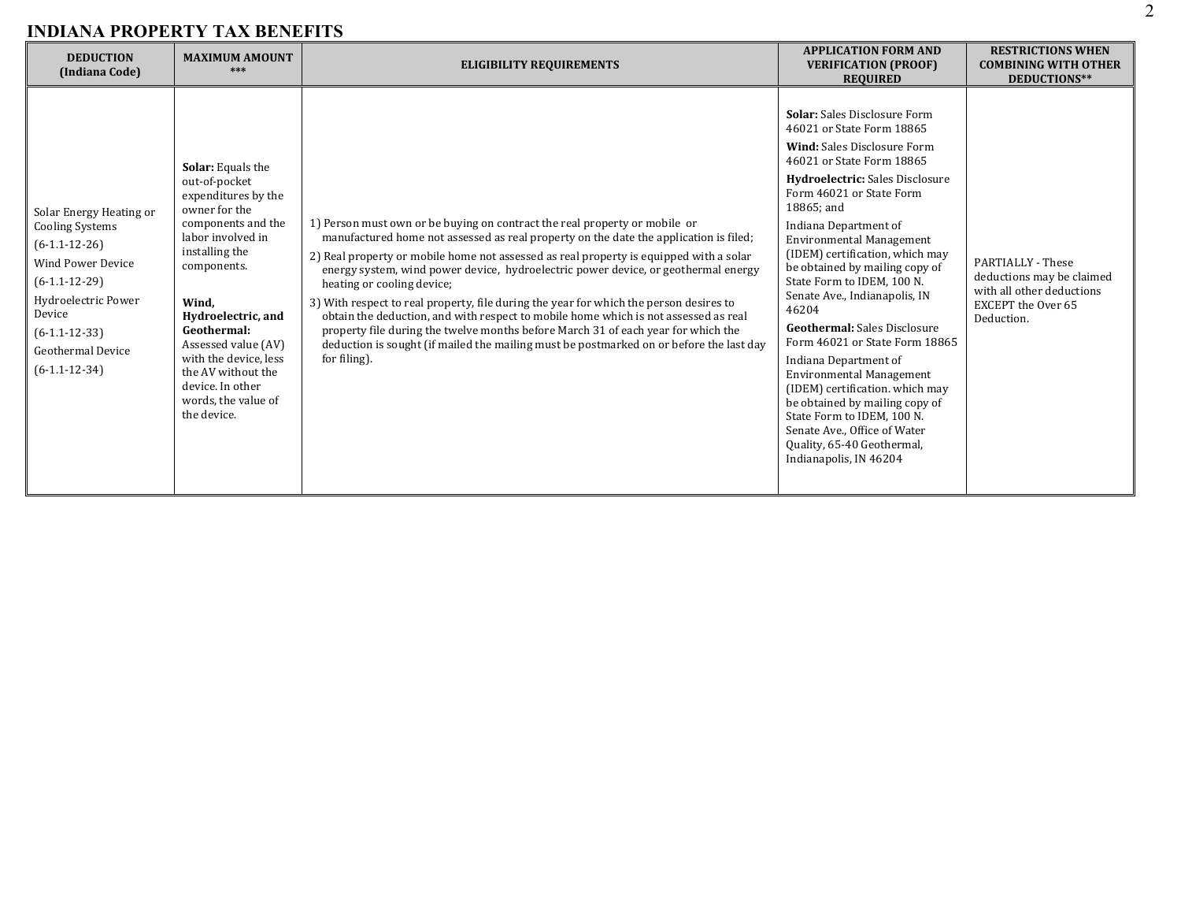| <b>DEDUCTION</b><br>(Indiana Code)                                                                                                                                                                              | <b>MAXIMUM AMOUNT</b><br>***                                                                                                                                                                                                                                                                                                                | <b>ELIGIBILITY REQUIREMENTS</b>                                                                                                                                                                                                                                                                                                                                                                                                                                                                                                                                                                                                                                                                                                                                    | <b>APPLICATION FORM AND</b><br><b>VERIFICATION (PROOF)</b><br><b>REQUIRED</b>                                                                                                                                                                                                                                                                                                                                                                                                                                                                                                                                                                                                                                                                             | <b>RESTRICTIONS WHEN</b><br><b>COMBINING WITH OTHER</b><br>DEDUCTIONS**                                                       |
|-----------------------------------------------------------------------------------------------------------------------------------------------------------------------------------------------------------------|---------------------------------------------------------------------------------------------------------------------------------------------------------------------------------------------------------------------------------------------------------------------------------------------------------------------------------------------|--------------------------------------------------------------------------------------------------------------------------------------------------------------------------------------------------------------------------------------------------------------------------------------------------------------------------------------------------------------------------------------------------------------------------------------------------------------------------------------------------------------------------------------------------------------------------------------------------------------------------------------------------------------------------------------------------------------------------------------------------------------------|-----------------------------------------------------------------------------------------------------------------------------------------------------------------------------------------------------------------------------------------------------------------------------------------------------------------------------------------------------------------------------------------------------------------------------------------------------------------------------------------------------------------------------------------------------------------------------------------------------------------------------------------------------------------------------------------------------------------------------------------------------------|-------------------------------------------------------------------------------------------------------------------------------|
| Solar Energy Heating or<br><b>Cooling Systems</b><br>$(6-1.1-12-26)$<br>Wind Power Device<br>$(6-1.1-12-29)$<br>Hydroelectric Power<br>Device<br>$(6-1.1-12-33)$<br><b>Geothermal Device</b><br>$(6-1.1-12-34)$ | <b>Solar:</b> Equals the<br>out-of-pocket<br>expenditures by the<br>owner for the<br>components and the<br>labor involved in<br>installing the<br>components.<br>Wind.<br>Hydroelectric, and<br>Geothermal:<br>Assessed value (AV)<br>with the device, less<br>the AV without the<br>device. In other<br>words, the value of<br>the device. | 1) Person must own or be buying on contract the real property or mobile or<br>manufactured home not assessed as real property on the date the application is filed;<br>2) Real property or mobile home not assessed as real property is equipped with a solar<br>energy system, wind power device, hydroelectric power device, or geothermal energy<br>heating or cooling device;<br>3) With respect to real property, file during the year for which the person desires to<br>obtain the deduction, and with respect to mobile home which is not assessed as real<br>property file during the twelve months before March 31 of each year for which the<br>deduction is sought (if mailed the mailing must be postmarked on or before the last day<br>for filing). | Solar: Sales Disclosure Form<br>46021 or State Form 18865<br><b>Wind:</b> Sales Disclosure Form<br>46021 or State Form 18865<br><b>Hydroelectric:</b> Sales Disclosure<br>Form 46021 or State Form<br>18865; and<br>Indiana Department of<br><b>Environmental Management</b><br>(IDEM) certification, which may<br>be obtained by mailing copy of<br>State Form to IDEM, 100 N.<br>Senate Ave., Indianapolis, IN<br>46204<br><b>Geothermal:</b> Sales Disclosure<br>Form 46021 or State Form 18865<br>Indiana Department of<br><b>Environmental Management</b><br>(IDEM) certification. which may<br>be obtained by mailing copy of<br>State Form to IDEM, 100 N.<br>Senate Ave., Office of Water<br>Quality, 65-40 Geothermal,<br>Indianapolis, IN 46204 | <b>PARTIALLY - These</b><br>deductions may be claimed<br>with all other deductions<br><b>EXCEPT</b> the Over 65<br>Deduction. |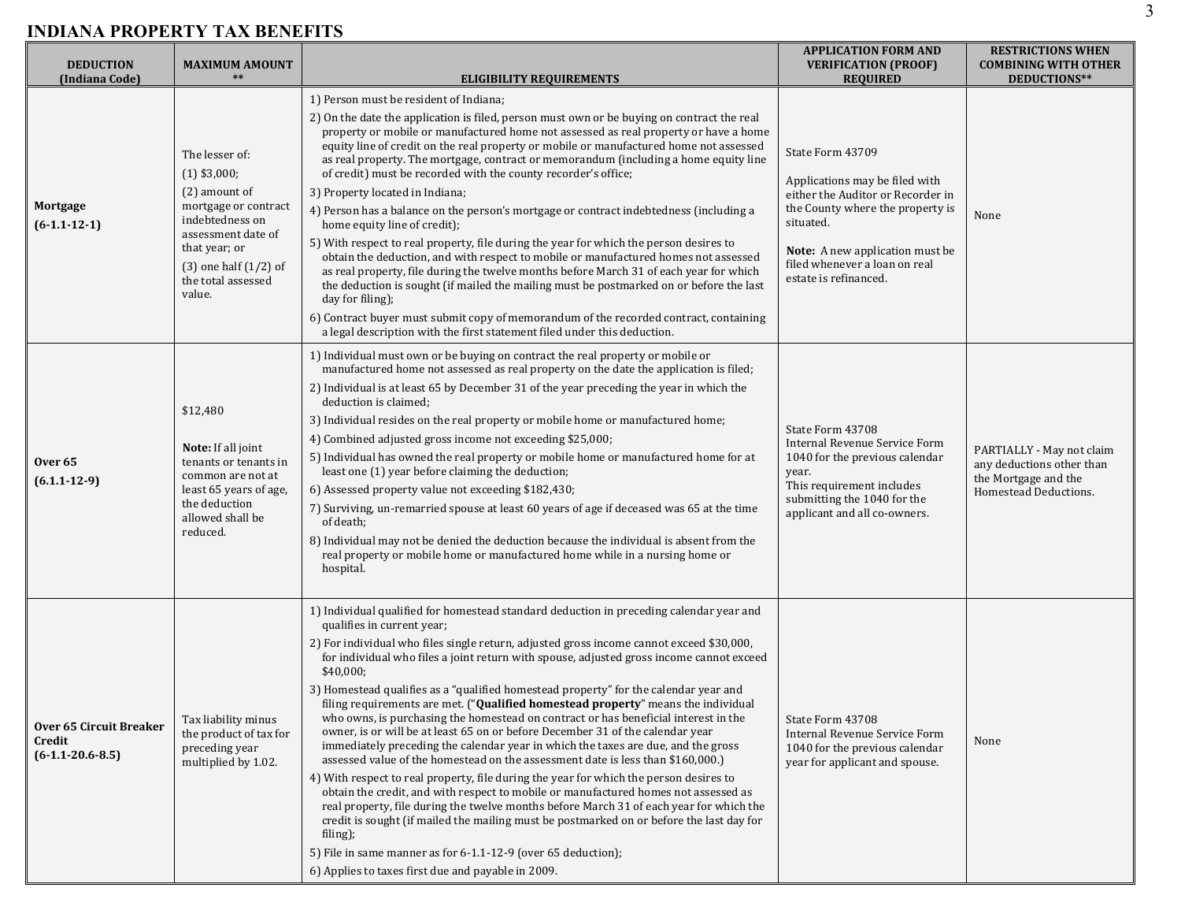| <b>DEDUCTION</b><br>(Indiana Code)                             | <b>MAXIMUM AMOUNT</b><br>$***$                                                                                                                                                                   | <b>ELIGIBILITY REQUIREMENTS</b>                                                                                                                                                                                                                                                                                                                                                                                                                                                                                                                                                                                                                                                                                                                                                                                                                                                                                                                                                                                                                                                                                                                                                                                                                                                                                                                                     | <b>APPLICATION FORM AND</b><br><b>VERIFICATION (PROOF)</b><br><b>REQUIRED</b>                                                                                                                                                         | <b>RESTRICTIONS WHEN</b><br><b>COMBINING WITH OTHER</b><br>DEDUCTIONS**                                 |
|----------------------------------------------------------------|--------------------------------------------------------------------------------------------------------------------------------------------------------------------------------------------------|---------------------------------------------------------------------------------------------------------------------------------------------------------------------------------------------------------------------------------------------------------------------------------------------------------------------------------------------------------------------------------------------------------------------------------------------------------------------------------------------------------------------------------------------------------------------------------------------------------------------------------------------------------------------------------------------------------------------------------------------------------------------------------------------------------------------------------------------------------------------------------------------------------------------------------------------------------------------------------------------------------------------------------------------------------------------------------------------------------------------------------------------------------------------------------------------------------------------------------------------------------------------------------------------------------------------------------------------------------------------|---------------------------------------------------------------------------------------------------------------------------------------------------------------------------------------------------------------------------------------|---------------------------------------------------------------------------------------------------------|
| Mortgage<br>$(6-1.1-12-1)$                                     | The lesser of:<br>$(1)$ \$3,000;<br>(2) amount of<br>mortgage or contract<br>indebtedness on<br>assessment date of<br>that year; or<br>$(3)$ one half $(1/2)$ of<br>the total assessed<br>value. | 1) Person must be resident of Indiana;<br>2) On the date the application is filed, person must own or be buying on contract the real<br>property or mobile or manufactured home not assessed as real property or have a home<br>equity line of credit on the real property or mobile or manufactured home not assessed<br>as real property. The mortgage, contract or memorandum (including a home equity line<br>of credit) must be recorded with the county recorder's office;<br>3) Property located in Indiana;<br>4) Person has a balance on the person's mortgage or contract indebtedness (including a<br>home equity line of credit);<br>5) With respect to real property, file during the year for which the person desires to<br>obtain the deduction, and with respect to mobile or manufactured homes not assessed<br>as real property, file during the twelve months before March 31 of each year for which<br>the deduction is sought (if mailed the mailing must be postmarked on or before the last<br>day for filing);<br>6) Contract buyer must submit copy of memorandum of the recorded contract, containing<br>a legal description with the first statement filed under this deduction.                                                                                                                                                        | State Form 43709<br>Applications may be filed with<br>either the Auditor or Recorder in<br>the County where the property is<br>situated.<br>Note: A new application must be<br>filed whenever a loan on real<br>estate is refinanced. | None                                                                                                    |
| Over <sub>65</sub><br>$(6.1.1 - 12 - 9)$                       | \$12,480<br><b>Note:</b> If all joint<br>tenants or tenants in<br>common are not at<br>least 65 years of age,<br>the deduction<br>allowed shall be<br>reduced.                                   | 1) Individual must own or be buying on contract the real property or mobile or<br>manufactured home not assessed as real property on the date the application is filed;<br>2) Individual is at least 65 by December 31 of the year preceding the year in which the<br>deduction is claimed;<br>3) Individual resides on the real property or mobile home or manufactured home;<br>4) Combined adjusted gross income not exceeding \$25,000;<br>5) Individual has owned the real property or mobile home or manufactured home for at<br>least one (1) year before claiming the deduction;<br>6) Assessed property value not exceeding \$182,430;<br>7) Surviving, un-remarried spouse at least 60 years of age if deceased was 65 at the time<br>of death;<br>8) Individual may not be denied the deduction because the individual is absent from the<br>real property or mobile home or manufactured home while in a nursing home or<br>hospital.                                                                                                                                                                                                                                                                                                                                                                                                                   | State Form 43708<br>Internal Revenue Service Form<br>1040 for the previous calendar<br>year.<br>This requirement includes<br>submitting the 1040 for the<br>applicant and all co-owners.                                              | PARTIALLY - May not claim<br>any deductions other than<br>the Mortgage and the<br>Homestead Deductions. |
| <b>Over 65 Circuit Breaker</b><br>Credit<br>$(6-1.1-20.6-8.5)$ | Tax liability minus<br>the product of tax for<br>preceding year<br>multiplied by 1.02.                                                                                                           | 1) Individual qualified for homestead standard deduction in preceding calendar year and<br>qualifies in current year;<br>2) For individual who files single return, adjusted gross income cannot exceed \$30,000,<br>for individual who files a joint return with spouse, adjusted gross income cannot exceed<br>\$40,000;<br>3) Homestead qualifies as a "qualified homestead property" for the calendar year and<br>filing requirements are met. ("Qualified homestead property" means the individual<br>who owns, is purchasing the homestead on contract or has beneficial interest in the<br>owner, is or will be at least 65 on or before December 31 of the calendar year<br>immediately preceding the calendar year in which the taxes are due, and the gross<br>assessed value of the homestead on the assessment date is less than \$160,000.)<br>4) With respect to real property, file during the year for which the person desires to<br>obtain the credit, and with respect to mobile or manufactured homes not assessed as<br>real property, file during the twelve months before March 31 of each year for which the<br>credit is sought (if mailed the mailing must be postmarked on or before the last day for<br>filing);<br>5) File in same manner as for 6-1.1-12-9 (over 65 deduction);<br>6) Applies to taxes first due and payable in 2009. | State Form 43708<br>Internal Revenue Service Form<br>1040 for the previous calendar<br>year for applicant and spouse.                                                                                                                 | None                                                                                                    |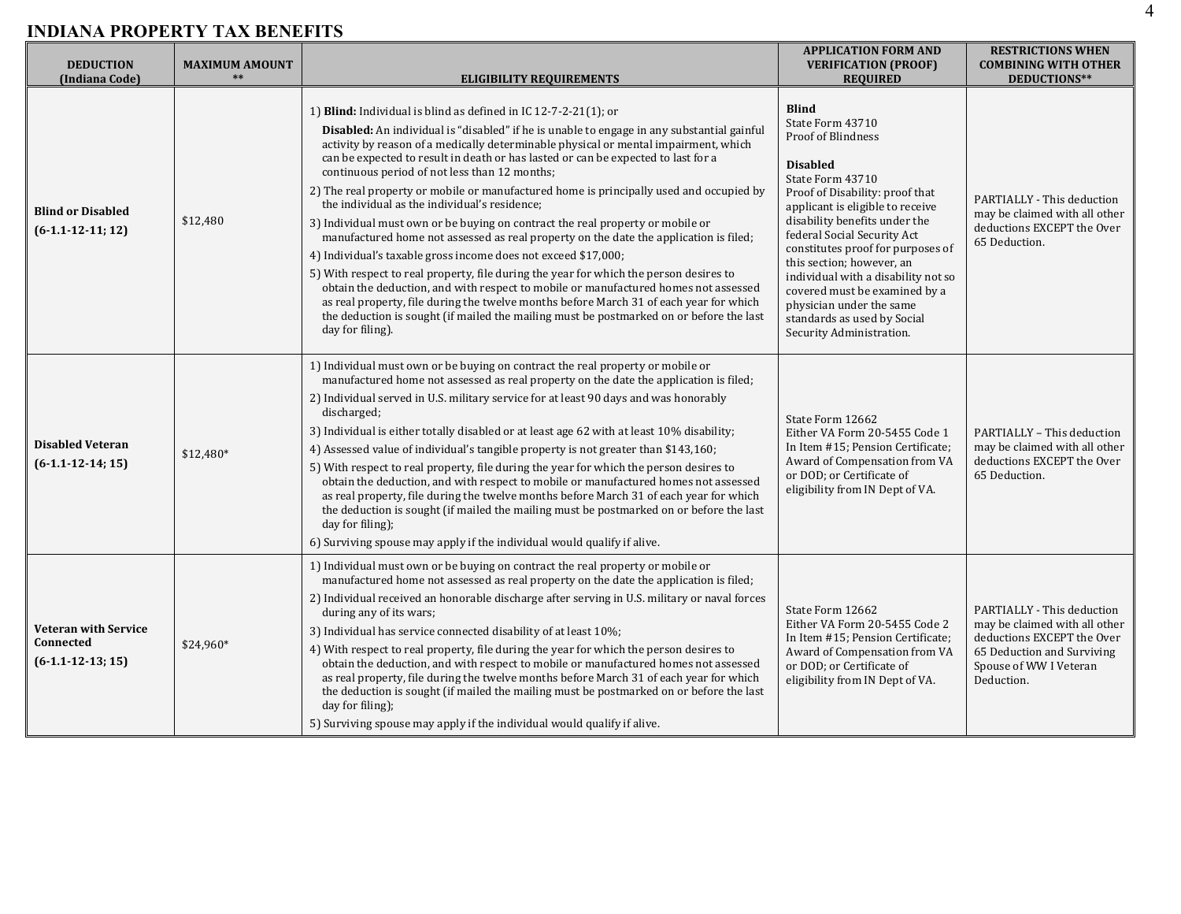| <b>DEDUCTION</b><br>(Indiana Code)                              | <b>MAXIMUM AMOUNT</b> | <b>ELIGIBILITY REQUIREMENTS</b>                                                                                                                                                                                                                                                                                                                                                                                                                                                                                                                                                                                                                                                                                                                                                                                                                                                                                                                                                                                                                                                                                                                                                  | <b>APPLICATION FORM AND</b><br><b>VERIFICATION (PROOF)</b><br><b>REQUIRED</b>                                                                                                                                                                                                                                                                                                                                                                                                | <b>RESTRICTIONS WHEN</b><br><b>COMBINING WITH OTHER</b><br>DEDUCTIONS**                                                                                         |
|-----------------------------------------------------------------|-----------------------|----------------------------------------------------------------------------------------------------------------------------------------------------------------------------------------------------------------------------------------------------------------------------------------------------------------------------------------------------------------------------------------------------------------------------------------------------------------------------------------------------------------------------------------------------------------------------------------------------------------------------------------------------------------------------------------------------------------------------------------------------------------------------------------------------------------------------------------------------------------------------------------------------------------------------------------------------------------------------------------------------------------------------------------------------------------------------------------------------------------------------------------------------------------------------------|------------------------------------------------------------------------------------------------------------------------------------------------------------------------------------------------------------------------------------------------------------------------------------------------------------------------------------------------------------------------------------------------------------------------------------------------------------------------------|-----------------------------------------------------------------------------------------------------------------------------------------------------------------|
| <b>Blind or Disabled</b><br>$(6-1.1-12-11; 12)$                 | \$12,480              | 1) Blind: Individual is blind as defined in IC $12-7-2-21(1)$ ; or<br>Disabled: An individual is "disabled" if he is unable to engage in any substantial gainful<br>activity by reason of a medically determinable physical or mental impairment, which<br>can be expected to result in death or has lasted or can be expected to last for a<br>continuous period of not less than 12 months;<br>2) The real property or mobile or manufactured home is principally used and occupied by<br>the individual as the individual's residence;<br>3) Individual must own or be buying on contract the real property or mobile or<br>manufactured home not assessed as real property on the date the application is filed;<br>4) Individual's taxable gross income does not exceed \$17,000;<br>5) With respect to real property, file during the year for which the person desires to<br>obtain the deduction, and with respect to mobile or manufactured homes not assessed<br>as real property, file during the twelve months before March 31 of each year for which<br>the deduction is sought (if mailed the mailing must be postmarked on or before the last<br>day for filing). | <b>Blind</b><br>State Form 43710<br><b>Proof of Blindness</b><br><b>Disabled</b><br>State Form 43710<br>Proof of Disability: proof that<br>applicant is eligible to receive<br>disability benefits under the<br>federal Social Security Act<br>constitutes proof for purposes of<br>this section; however, an<br>individual with a disability not so<br>covered must be examined by a<br>physician under the same<br>standards as used by Social<br>Security Administration. | PARTIALLY - This deduction<br>may be claimed with all other<br>deductions EXCEPT the Over<br>65 Deduction.                                                      |
| <b>Disabled Veteran</b><br>$(6-1.1-12-14; 15)$                  | $$12,480*$            | 1) Individual must own or be buying on contract the real property or mobile or<br>manufactured home not assessed as real property on the date the application is filed;<br>2) Individual served in U.S. military service for at least 90 days and was honorably<br>discharged;<br>3) Individual is either totally disabled or at least age 62 with at least 10% disability;<br>4) Assessed value of individual's tangible property is not greater than \$143,160;<br>5) With respect to real property, file during the year for which the person desires to<br>obtain the deduction, and with respect to mobile or manufactured homes not assessed<br>as real property, file during the twelve months before March 31 of each year for which<br>the deduction is sought (if mailed the mailing must be postmarked on or before the last<br>day for filing);<br>6) Surviving spouse may apply if the individual would qualify if alive.                                                                                                                                                                                                                                           | State Form 12662<br>Either VA Form 20-5455 Code 1<br>In Item #15; Pension Certificate;<br>Award of Compensation from VA<br>or DOD; or Certificate of<br>eligibility from IN Dept of VA.                                                                                                                                                                                                                                                                                      | PARTIALLY - This deduction<br>may be claimed with all other<br>deductions EXCEPT the Over<br>65 Deduction.                                                      |
| <b>Veteran with Service</b><br>Connected<br>$(6-1.1-12-13; 15)$ | $$24,960*$            | 1) Individual must own or be buying on contract the real property or mobile or<br>manufactured home not assessed as real property on the date the application is filed;<br>2) Individual received an honorable discharge after serving in U.S. military or naval forces<br>during any of its wars;<br>3) Individual has service connected disability of at least 10%;<br>4) With respect to real property, file during the year for which the person desires to<br>obtain the deduction, and with respect to mobile or manufactured homes not assessed<br>as real property, file during the twelve months before March 31 of each year for which<br>the deduction is sought (if mailed the mailing must be postmarked on or before the last<br>day for filing);<br>5) Surviving spouse may apply if the individual would qualify if alive.                                                                                                                                                                                                                                                                                                                                       | State Form 12662<br>Either VA Form 20-5455 Code 2<br>In Item #15; Pension Certificate;<br>Award of Compensation from VA<br>or DOD; or Certificate of<br>eligibility from IN Dept of VA.                                                                                                                                                                                                                                                                                      | PARTIALLY - This deduction<br>may be claimed with all other<br>deductions EXCEPT the Over<br>65 Deduction and Surviving<br>Spouse of WW I Veteran<br>Deduction. |